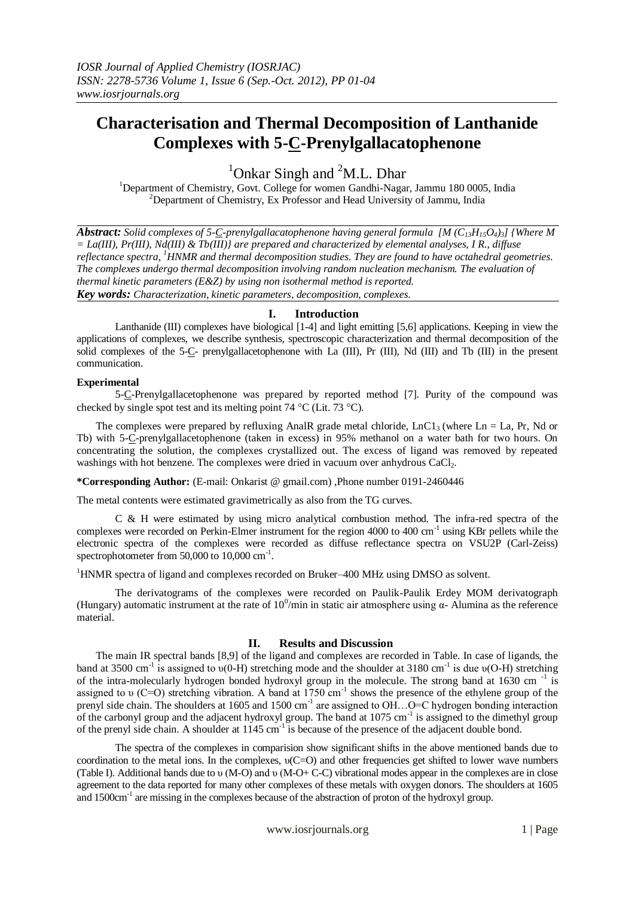# **Characterisation and Thermal Decomposition of Lanthanide Complexes with 5-C-Prenylgallacatophenone**

 $1$ Onkar Singh and  $2$ M.L. Dhar

<sup>1</sup>Department of Chemistry, Govt. College for women Gandhi-Nagar, Jammu 180 0005, India  $2$ Department of Chemistry, Ex Professor and Head University of Jammu, India

*Abstract: Solid complexes of 5-C-prenylgallacatophenone having general formula [M (C13H15O4)3] {Where M = La(III), Pr(III), Nd(III) & Tb(III)} are prepared and characterized by elemental analyses, I R., diffuse reflectance spectra, <sup>1</sup>HNMR and thermal decomposition studies. They are found to have octahedral geometries. The complexes undergo thermal decomposition involving random nucleation mechanism. The evaluation of thermal kinetic parameters (E&Z) by using non isothermal method is reported. Key words: Characterization, kinetic parameters, decomposition, complexes.*

#### **I. Introduction**

Lanthanide (III) complexes have biological [1-4] and light emitting [5,6] applications. Keeping in view the applications of complexes, we describe synthesis, spectroscopic characterization and thermal decomposition of the solid complexes of the 5-C- prenylgallacetophenone with La (III), Pr (III), Nd (III) and Tb (III) in the present communication.

### **Experimental**

5-C-Prenylgallacetophenone was prepared by reported method [7]. Purity of the compound was checked by single spot test and its melting point  $74 \text{ °C}$  (Lit.  $73 \text{ °C}$ ).

The complexes were prepared by refluxing AnalR grade metal chloride,  $LnCl<sub>3</sub>$  (where Ln = La, Pr, Nd or Tb) with 5-C-prenylgallacetophenone (taken in excess) in 95% methanol on a water bath for two hours. On concentrating the solution, the complexes crystallized out. The excess of ligand was removed by repeated washings with hot benzene. The complexes were dried in vacuum over anhydrous CaCl<sub>2</sub>.

**\*Corresponding Author:** (E-mail: Onkarist @ gmail.com) ,Phone number 0191-2460446

The metal contents were estimated gravimetrically as also from the TG curves.

C & H were estimated by using micro analytical combustion method. The infra-red spectra of the complexes were recorded on Perkin-Elmer instrument for the region 4000 to 400 cm<sup>-1</sup> using KBr pellets while the electronic spectra of the complexes were recorded as diffuse reflectance spectra on VSU2P (Carl-Zeiss) spectrophotometer from 50,000 to 10,000 cm<sup>-1</sup>.

<sup>1</sup>HNMR spectra of ligand and complexes recorded on Bruker–400 MHz using DMSO as solvent.

The derivatograms of the complexes were recorded on Paulik-Paulik Erdey MOM derivatograph (Hungary) automatic instrument at the rate of  $10^0$ /min in static air atmosphere using  $\alpha$ - Alumina as the reference material.

# **II. Results and Discussion**

The main IR spectral bands [8,9] of the ligand and complexes are recorded in Table. In case of ligands, the band at 3500 cm<sup>-1</sup> is assigned to  $v(0-H)$  stretching mode and the shoulder at 3180 cm<sup>-1</sup> is due  $v(O-H)$  stretching of the intra-molecularly hydrogen bonded hydroxyl group in the molecule. The strong band at 1630 cm<sup>-1</sup> is assigned to  $\nu$  (C=O) stretching vibration. A band at 1750 cm<sup>-1</sup> shows the presence of the ethylene group of the prenyl side chain. The shoulders at 1605 and 1500 cm<sup>-1</sup> are assigned to OH...O=C hydrogen bonding interaction of the carbonyl group and the adjacent hydroxyl group. The band at 1075 cm<sup>-1</sup> is assigned to the dimethyl group of the prenyl side chain. A shoulder at 1145 cm<sup>-1</sup> is because of the presence of the adjacent double bond.

The spectra of the complexes in comparision show significant shifts in the above mentioned bands due to coordination to the metal ions. In the complexes, υ(C=O) and other frequencies get shifted to lower wave numbers (Table I). Additional bands due to υ (M-O) and υ (M-O+ C-C) vibrational modes appear in the complexes are in close agreement to the data reported for many other complexes of these metals with oxygen donors. The shoulders at 1605 and 1500cm<sup>-1</sup> are missing in the complexes because of the abstraction of proton of the hydroxyl group.

www.iosrjournals.org 1 | Page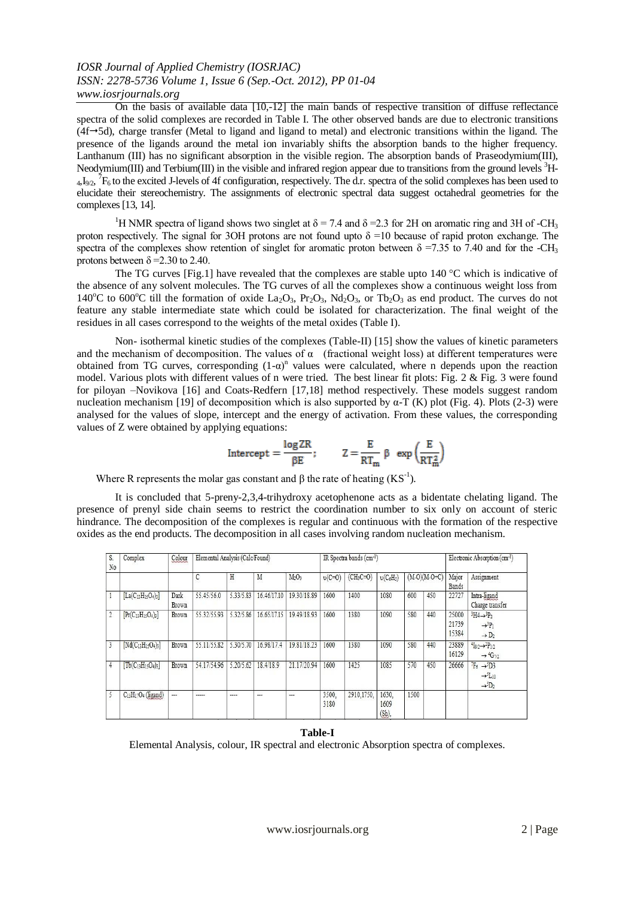## *IOSR Journal of Applied Chemistry (IOSRJAC) ISSN: 2278-5736 Volume 1, Issue 6 (Sep.-Oct. 2012), PP 01-04 www.iosrjournals.org*

On the basis of available data [10,-12] the main bands of respective transition of diffuse reflectance spectra of the solid complexes are recorded in Table I. The other observed bands are due to electronic transitions  $(4f\rightarrow 5d)$ , charge transfer (Metal to ligand and ligand to metal) and electronic transitions within the ligand. The presence of the ligands around the metal ion invariably shifts the absorption bands to the higher frequency. Lanthanum (III) has no significant absorption in the visible region. The absorption bands of Praseodymium(III), Neodymium(III) and Terbium(III) in the visible and infrared region appear due to transitions from the ground levels <sup>3</sup>H- $_{4}I_{9/2}$ ,  $^{7}F_{6}$  to the excited J-levels of 4f configuration, respectively. The d.r. spectra of the solid complexes has been used to elucidate their stereochemistry. The assignments of electronic spectral data suggest octahedral geometries for the complexes[13, 14].

<sup>1</sup>H NMR spectra of ligand shows two singlet at  $\delta = 7.4$  and  $\delta = 2.3$  for 2H on aromatic ring and 3H of -CH<sub>3</sub> proton respectively. The signal for 3OH protons are not found upto  $\delta$  =10 because of rapid proton exchange. The spectra of the complexes show retention of singlet for aromatic proton between  $\delta$  =7.35 to 7.40 and for the -CH<sub>3</sub> protons between  $\delta$  =2.30 to 2.40.

The TG curves [Fig.1] have revealed that the complexes are stable upto  $140^{\circ}$ C which is indicative of the absence of any solvent molecules. The TG curves of all the complexes show a continuous weight loss from 140<sup>o</sup>C to 600<sup>o</sup>C till the formation of oxide La<sub>2</sub>O<sub>3</sub>, Pr<sub>2</sub>O<sub>3</sub>, Nd<sub>2</sub>O<sub>3</sub>, or Tb<sub>2</sub>O<sub>3</sub> as end product. The curves do not feature any stable intermediate state which could be isolated for characterization. The final weight of the residues in all cases correspond to the weights of the metal oxides (Table I).

Non- isothermal kinetic studies of the complexes (Table-II) [15] show the values of kinetic parameters and the mechanism of decomposition. The values of  $\alpha$  (fractional weight loss) at different temperatures were obtained from TG curves, corresponding  $(1-a)^n$  values were calculated, where n depends upon the reaction model. Various plots with different values of n were tried. The best linear fit plots: Fig. 2 & Fig. 3 were found for piloyan –Novikova [16] and Coats-Redfern [17,18] method respectively. These models suggest random nucleation mechanism [19] of decomposition which is also supported by α-T (K) plot (Fig. 4). Plots (2-3) were analysed for the values of slope, intercept and the energy of activation. From these values, the corresponding values of Z were obtained by applying equations:

$$
\text{Intercept} = \frac{\log 2R}{\beta E}; \qquad Z = \frac{E}{RT_m} \beta \exp\left(\frac{E}{RT_m^2}\right)
$$

Where R represents the molar gas constant and  $\beta$  the rate of heating (KS<sup>-1</sup>).

It is concluded that 5-preny-2,3,4-trihydroxy acetophenone acts as a bidentate chelating ligand. The presence of prenyl side chain seems to restrict the coordination number to six only on account of steric hindrance. The decomposition of the complexes is regular and continuous with the formation of the respective oxides as the end products. The decomposition in all cases involving random nucleation mechanism.

| S.<br>No       | Complex                                      | Colour               | Elemental Analysis (Calc/Found) |           |             |                               | IR Spectra bands (cm-1) |            |                           |                | Electronic Absorption (cm-1) |                         |                                                                                                                   |
|----------------|----------------------------------------------|----------------------|---------------------------------|-----------|-------------|-------------------------------|-------------------------|------------|---------------------------|----------------|------------------------------|-------------------------|-------------------------------------------------------------------------------------------------------------------|
|                |                                              |                      | С                               | Η         | M           | M <sub>2</sub> O <sub>3</sub> | $v(C=0)$                | $(CH3C=0)$ | $v(C_6H_5)$               | $(M-O)(M-O+C)$ |                              | Major<br><b>Bands</b>   | Assignment                                                                                                        |
|                | $[La(C_{13}H_{15}O_4)_3]$                    | Dark<br><b>Brown</b> | 55.45/56.0                      | 5.33/5.83 | 16.46/17.10 | 19.30/18.89                   | 1600                    | 1400       | 1080                      | 600            | 450                          | 22727                   | Intra-ligand<br>Charge transfer                                                                                   |
| $\overline{2}$ | $[Pr(C_{13}H_{15}O_4)_3]$                    | Brown                | 55.32/55.93                     | 5.32/5.86 | 16.65/17.15 | 19.49/18.93                   | 1600                    | 1380       | 1090                      | 580            | 440                          | 25000<br>21739<br>15384 | ${}^3H4 \rightarrow {}^3P_2$<br>$\rightarrow$ <sup>3</sup> P <sub>1</sub><br>$\rightarrow$ D <sub>2</sub>         |
|                | $Nd(C_{13}H_{15}O_4)_{3}$                    | Brown                | 55.11/55.82                     | 5.30/5.70 | 16.98/17.4  | 19.81/18.23                   | 1600                    | 1380       | 1090                      | 580            | 440                          | 23889<br>16129          | ${}^{4}I_{9/2} \rightarrow {}^{2}P_{1/2}$<br>$\rightarrow$ 4G <sub>7/2</sub>                                      |
| 4              | $\lceil \text{Tb}(C_{13}H_{15}O_4)_3 \rceil$ | Brown                | 54.17/54.96                     | 5.20/5.62 | 18.4/18.9   | 21.17/20.94                   | 1600                    | 1425       | 1085                      | 570            | 450                          | 26666                   | $F_6 \rightarrow ^5D3$<br>$\rightarrow$ <sup>5</sup> L <sub>10</sub><br>$\rightarrow$ <sup>5</sup> D <sub>2</sub> |
|                | $C_{13}H_{17}O_4$ (ligand)                   | ---                  | -----                           | ----      | ---         | ---                           | 3500.<br>3180           | 2910,1750, | 1630.<br>1609<br>$(Sh)$ , | 1500           |                              |                         |                                                                                                                   |

#### **Table-I**

Elemental Analysis, colour, IR spectral and electronic Absorption spectra of complexes.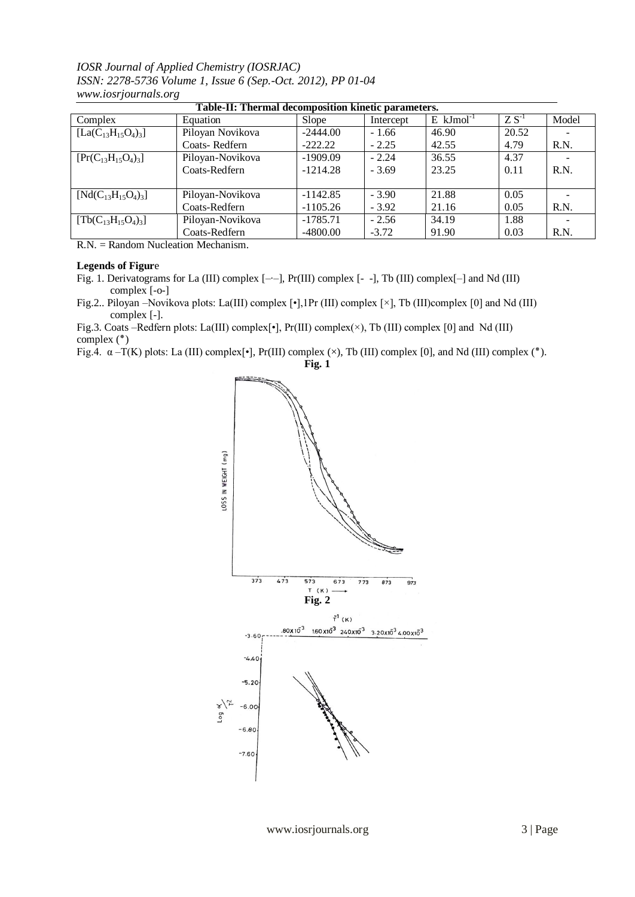*IOSR Journal of Applied Chemistry (IOSRJAC) ISSN: 2278-5736 Volume 1, Issue 6 (Sep.-Oct. 2012), PP 01-04 www.iosrjournals.org*

| Table-II: Thermal decomposition kinetic parameters. |                  |              |           |                         |        |       |  |  |  |  |
|-----------------------------------------------------|------------------|--------------|-----------|-------------------------|--------|-------|--|--|--|--|
| Complex                                             | Equation         | <b>Slope</b> | Intercept | $E$ kJmol <sup>-1</sup> | $ZS-1$ | Model |  |  |  |  |
| $[La(C_{13}H_{15}O_4)_3]$                           | Piloyan Novikova | $-2444.00$   | $-1.66$   | 46.90                   | 20.52  |       |  |  |  |  |
|                                                     | Coats-Redfern    | $-222.22$    | $-2.25$   | 42.55                   | 4.79   | R.N.  |  |  |  |  |
| $[Pr(C_{13}H_{15}O_4)_3]$                           | Piloyan-Novikova | $-1909.09$   | $-2.24$   | 36.55                   | 4.37   |       |  |  |  |  |
|                                                     | Coats-Redfern    | $-1214.28$   | $-3.69$   | 23.25                   | 0.11   | R.N.  |  |  |  |  |
|                                                     |                  |              |           |                         |        |       |  |  |  |  |
| $[Nd(C_{13}H_{15}O_4)_3]$                           | Piloyan-Novikova | $-1142.85$   | $-3.90$   | 21.88                   | 0.05   |       |  |  |  |  |
|                                                     | Coats-Redfern    | $-1105.26$   | $-3.92$   | 21.16                   | 0.05   | R.N.  |  |  |  |  |
| $[Tb(C_{13}H_{15}O_4)_3]$                           | Piloyan-Novikova | $-1785.71$   | $-2.56$   | 34.19                   | 1.88   |       |  |  |  |  |
|                                                     | Coats-Redfern    | $-4800.00$   | $-3.72$   | 91.90                   | 0.03   | R.N.  |  |  |  |  |

R.N. = Random Nucleation Mechanism.

### **Legends of Figur**e

- Fig. 1. Derivatograms for La (III) complex [–∙–], Pr(III) complex [- -], Tb (III) complex[–] and Nd (III) complex [-o-]
- Fig.2.. Piloyan –Novikova plots: La(III) complex [•],1Pr (III) complex [×], Tb (III)complex [0] and Nd (III) complex [-].

Fig.3. Coats –Redfern plots: La(III) complex[•], Pr(III) complex(×), Tb (III) complex [0] and Nd (III) (٭) complex

Fig.4.  $\alpha$  –T(K) plots: La (III) complex[•], Pr(III) complex (×), Tb (III) complex [0], and Nd (III) complex (\*).

**Fig. 1**